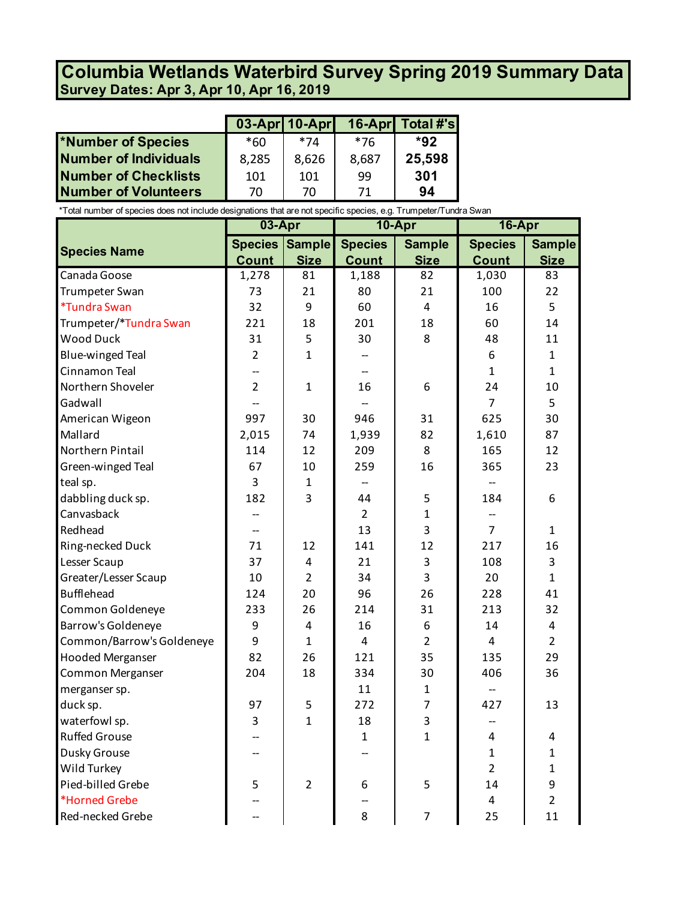## **Survey Dates: Apr 3, Apr 10, Apr 16, 2019 Columbia Wetlands Waterbird Survey Spring 2019 Summary Data**

|                              |       |       |       | $03$ -Apr 10-Apr $16$ -Apr Total #'s |
|------------------------------|-------|-------|-------|--------------------------------------|
| *Number of Species           | $*60$ | *74   | *76   | $*92$                                |
| <b>Number of Individuals</b> | 8,285 | 8,626 | 8,687 | 25,598                               |
| <b>Number of Checklists</b>  | 101   | 101   | 99    | 301                                  |
| <b>Number of Volunteers</b>  | 70    | 70    | 71    | 94                                   |

\*Total number of species does not include designations that are not specific species, e.g. Trumpeter/Tundra Swan

|                            | 03-Apr         |                | 10-Apr         |                | 16-Apr         |                |
|----------------------------|----------------|----------------|----------------|----------------|----------------|----------------|
|                            | <b>Species</b> | <b>Sample</b>  | <b>Species</b> | <b>Sample</b>  | <b>Species</b> | <b>Sample</b>  |
| <b>Species Name</b>        | <b>Count</b>   | <b>Size</b>    | <b>Count</b>   | <b>Size</b>    | <b>Count</b>   | <b>Size</b>    |
| Canada Goose               | 1,278          | 81             | 1,188          | 82             | 1,030          | 83             |
| Trumpeter Swan             | 73             | 21             | 80             | 21             | 100            | 22             |
| <i><b>*Tundra Swan</b></i> | 32             | 9              | 60             | $\overline{4}$ | 16             | 5              |
| Trumpeter/*Tundra Swan     | 221            | 18             | 201            | 18             | 60             | 14             |
| <b>Wood Duck</b>           | 31             | 5              | 30             | 8              | 48             | 11             |
| <b>Blue-winged Teal</b>    | $\overline{2}$ | $\mathbf{1}$   |                |                | 6              | $\mathbf{1}$   |
| Cinnamon Teal              |                |                |                |                | 1              | $\mathbf{1}$   |
| Northern Shoveler          | $\overline{2}$ | 1              | 16             | 6              | 24             | 10             |
| Gadwall                    |                |                |                |                | $\overline{7}$ | 5              |
| American Wigeon            | 997            | 30             | 946            | 31             | 625            | 30             |
| Mallard                    | 2,015          | 74             | 1,939          | 82             | 1,610          | 87             |
| Northern Pintail           | 114            | 12             | 209            | 8              | 165            | 12             |
| Green-winged Teal          | 67             | 10             | 259            | 16             | 365            | 23             |
| teal sp.                   | 3              | $\mathbf{1}$   |                |                |                |                |
| dabbling duck sp.          | 182            | 3              | 44             | 5              | 184            | 6              |
| Canvasback                 |                |                | $\overline{2}$ | $\mathbf{1}$   |                |                |
| Redhead                    |                |                | 13             | 3              | $\overline{7}$ | $\mathbf{1}$   |
| Ring-necked Duck           | 71             | 12             | 141            | 12             | 217            | 16             |
| Lesser Scaup               | 37             | 4              | 21             | 3              | 108            | 3              |
| Greater/Lesser Scaup       | 10             | $\overline{2}$ | 34             | 3              | 20             | $\mathbf{1}$   |
| <b>Bufflehead</b>          | 124            | 20             | 96             | 26             | 228            | 41             |
| Common Goldeneye           | 233            | 26             | 214            | 31             | 213            | 32             |
| Barrow's Goldeneye         | 9              | 4              | 16             | 6              | 14             | 4              |
| Common/Barrow's Goldeneye  | 9              | $\mathbf{1}$   | $\overline{4}$ | $\overline{2}$ | 4              | $\overline{2}$ |
| <b>Hooded Merganser</b>    | 82             | 26             | 121            | 35             | 135            | 29             |
| <b>Common Merganser</b>    | 204            | 18             | 334            | 30             | 406            | 36             |
| merganser sp.              |                |                | 11             | $\mathbf 1$    |                |                |
| duck sp.                   | 97             | 5              | 272            | $\overline{7}$ | 427            | 13             |
| waterfowl sp.              | 3              | $\overline{1}$ | 18             | 3              | --             |                |
| <b>Ruffed Grouse</b>       |                |                | $\mathbf 1$    | $\mathbf{1}$   | 4              | 4              |
| Dusky Grouse               |                |                |                |                | 1              | 1              |
| Wild Turkey                |                |                |                |                | $\overline{2}$ | $\mathbf{1}$   |
| Pied-billed Grebe          | 5              | $\overline{2}$ | 6              | 5              | 14             | 9              |
| *Horned Grebe              |                |                |                |                | $\overline{4}$ | $\overline{2}$ |
| Red-necked Grebe           |                |                | 8              | $\overline{7}$ | 25             | 11             |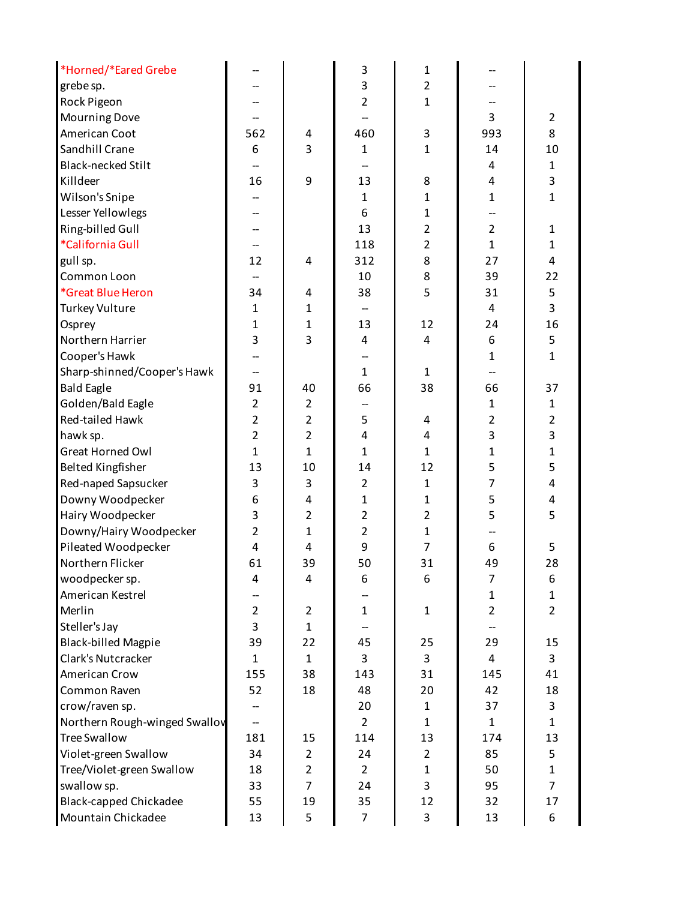| *Horned/*Eared Grebe          |                          |                | 3                       | 1              |                |                |
|-------------------------------|--------------------------|----------------|-------------------------|----------------|----------------|----------------|
| grebe sp.                     |                          |                | 3                       | $\overline{2}$ |                |                |
| Rock Pigeon                   |                          |                | $\overline{2}$          | $\mathbf 1$    |                |                |
| Mourning Dove                 |                          |                |                         |                | 3              | $\overline{2}$ |
| American Coot                 | 562                      | 4              | 460                     | 3              | 993            | 8              |
| Sandhill Crane                | 6                        | 3              | $\mathbf{1}$            | $\mathbf{1}$   | 14             | 10             |
| <b>Black-necked Stilt</b>     |                          |                |                         |                | 4              | $\mathbf{1}$   |
| Killdeer                      | 16                       | 9              | 13                      | 8              | 4              | 3              |
| Wilson's Snipe                |                          |                | $\mathbf{1}$            | $\mathbf{1}$   | $\mathbf{1}$   | $\mathbf 1$    |
| Lesser Yellowlegs             |                          |                | 6                       | $\mathbf{1}$   |                |                |
| Ring-billed Gull              | --                       |                | 13                      | $\overline{2}$ | $\overline{2}$ | 1              |
| *California Gull              | --                       |                | 118                     | $\overline{2}$ | $\mathbf{1}$   | $\mathbf{1}$   |
| gull sp.                      | 12                       | 4              | 312                     | 8              | 27             | $\overline{4}$ |
| Common Loon                   | $\overline{\phantom{0}}$ |                | 10                      | 8              | 39             | 22             |
| *Great Blue Heron             | 34                       | 4              | 38                      | 5              | 31             | 5              |
| <b>Turkey Vulture</b>         | $\mathbf{1}$             | $\mathbf{1}$   | --                      |                | 4              | $\overline{3}$ |
| Osprey                        | 1                        | $\mathbf{1}$   | 13                      | 12             | 24             | 16             |
| Northern Harrier              | 3                        | 3              | 4                       | 4              | 6              | 5              |
| Cooper's Hawk                 |                          |                |                         |                | $\mathbf{1}$   | $\mathbf{1}$   |
| Sharp-shinned/Cooper's Hawk   | --                       |                | $\mathbf{1}$            | $\mathbf{1}$   |                |                |
| <b>Bald Eagle</b>             | 91                       | 40             | 66                      | 38             | 66             | 37             |
| Golden/Bald Eagle             | $\overline{2}$           | $\overline{2}$ | --                      |                | 1              | 1              |
| Red-tailed Hawk               | $\overline{2}$           | $\overline{2}$ | 5                       | 4              | $\overline{2}$ | $\overline{2}$ |
| hawk sp.                      | $\overline{2}$           | $\overline{2}$ | $\overline{\mathbf{4}}$ | 4              | 3              | 3              |
| <b>Great Horned Owl</b>       | $\mathbf{1}$             | $\mathbf{1}$   | $\mathbf{1}$            | $\mathbf{1}$   | $\mathbf{1}$   | $\mathbf{1}$   |
| <b>Belted Kingfisher</b>      | 13                       | 10             | 14                      | 12             | 5              | 5              |
| Red-naped Sapsucker           | 3                        | 3              | $\overline{2}$          | $\mathbf{1}$   | 7              | 4              |
| Downy Woodpecker              | 6                        | 4              | $\mathbf{1}$            | $\mathbf{1}$   | 5              | 4              |
| Hairy Woodpecker              | 3                        | $\overline{2}$ | $\overline{2}$          | $\overline{2}$ | 5              | 5              |
| Downy/Hairy Woodpecker        | $\overline{2}$           | $\mathbf{1}$   | $\overline{2}$          | $\mathbf 1$    |                |                |
| Pileated Woodpecker           | $\overline{4}$           | 4              | 9                       | $\overline{7}$ | 6              | 5              |
| Northern Flicker              | 61                       | 39             | 50                      | 31             | 49             | 28             |
| woodpecker sp.                | 4                        | 4              | 6                       | 6              | 7              | 6              |
| American Kestrel              |                          |                |                         |                | 1              | 1              |
| Merlin                        | $\overline{2}$           | $\overline{2}$ | $\mathbf{1}$            | $\mathbf{1}$   | $\overline{2}$ | $\overline{2}$ |
| Steller's Jay                 | $\overline{3}$           | $\mathbf{1}$   |                         |                |                |                |
| <b>Black-billed Magpie</b>    | 39                       | 22             | 45                      | 25             | 29             | 15             |
| Clark's Nutcracker            | $\mathbf{1}$             | $\mathbf{1}$   | 3                       | 3              | 4              | 3              |
| American Crow                 | 155                      | 38             | 143                     | 31             | 145            | 41             |
| Common Raven                  | 52                       | 18             | 48                      | 20             | 42             | 18             |
| crow/raven sp.                |                          |                | 20                      | $\mathbf{1}$   | 37             | 3              |
| Northern Rough-winged Swallov | --                       |                | $\overline{2}$          | $\mathbf{1}$   | $\mathbf{1}$   | $\mathbf{1}$   |
| <b>Tree Swallow</b>           | 181                      | 15             | 114                     | 13             | 174            | 13             |
| Violet-green Swallow          | 34                       | $\overline{2}$ | 24                      | $\overline{2}$ | 85             | 5              |
| Tree/Violet-green Swallow     | 18                       | $\overline{2}$ | $\overline{2}$          | $\mathbf{1}$   | 50             | $\mathbf{1}$   |
| swallow sp.                   | 33                       | $\overline{7}$ | 24                      | 3              | 95             | $\overline{7}$ |
| Black-capped Chickadee        | 55                       | 19             | 35                      | 12             | 32             | 17             |
| Mountain Chickadee            | 13                       | 5              | $\overline{7}$          | 3              | 13             | 6              |